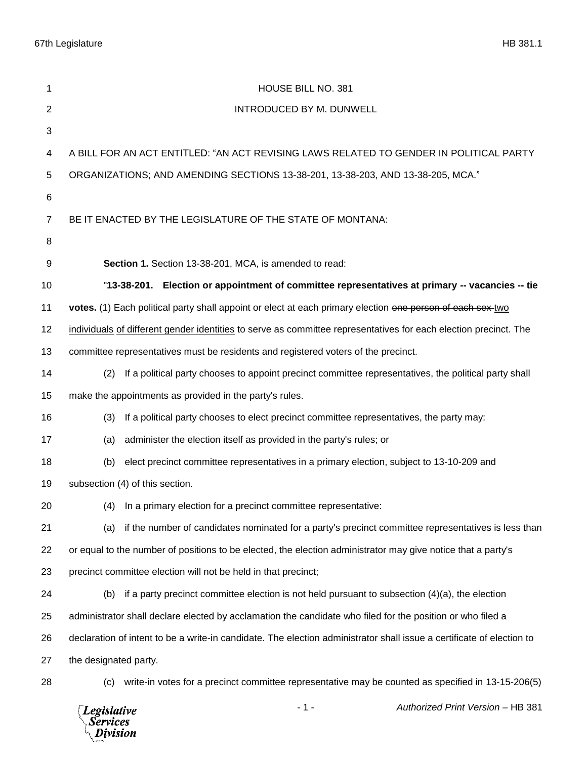| 1              | HOUSE BILL NO. 381                                                                                                    |
|----------------|-----------------------------------------------------------------------------------------------------------------------|
| $\overline{2}$ | <b>INTRODUCED BY M. DUNWELL</b>                                                                                       |
| 3              |                                                                                                                       |
| 4              | A BILL FOR AN ACT ENTITLED: "AN ACT REVISING LAWS RELATED TO GENDER IN POLITICAL PARTY                                |
| 5              | ORGANIZATIONS; AND AMENDING SECTIONS 13-38-201, 13-38-203, AND 13-38-205, MCA."                                       |
| 6              |                                                                                                                       |
| $\overline{7}$ | BE IT ENACTED BY THE LEGISLATURE OF THE STATE OF MONTANA:                                                             |
| 8              |                                                                                                                       |
| 9              | Section 1. Section 13-38-201, MCA, is amended to read:                                                                |
| 10             | "13-38-201. Election or appointment of committee representatives at primary -- vacancies -- tie                       |
| 11             | votes. (1) Each political party shall appoint or elect at each primary election one person of each sex-two            |
| 12             | individuals of different gender identities to serve as committee representatives for each election precinct. The      |
| 13             | committee representatives must be residents and registered voters of the precinct.                                    |
| 14             | If a political party chooses to appoint precinct committee representatives, the political party shall<br>(2)          |
| 15             | make the appointments as provided in the party's rules.                                                               |
| 16             | If a political party chooses to elect precinct committee representatives, the party may:<br>(3)                       |
| 17             | administer the election itself as provided in the party's rules; or<br>(a)                                            |
| 18             | elect precinct committee representatives in a primary election, subject to 13-10-209 and<br>(b)                       |
| 19             | subsection (4) of this section.                                                                                       |
| 20             | (4) In a primary election for a precinct committee representative:                                                    |
| 21             | if the number of candidates nominated for a party's precinct committee representatives is less than<br>(a)            |
| 22             | or equal to the number of positions to be elected, the election administrator may give notice that a party's          |
| 23             | precinct committee election will not be held in that precinct;                                                        |
| 24             | (b)<br>if a party precinct committee election is not held pursuant to subsection $(4)(a)$ , the election              |
| 25             | administrator shall declare elected by acclamation the candidate who filed for the position or who filed a            |
| 26             | declaration of intent to be a write-in candidate. The election administrator shall issue a certificate of election to |
| 27             | the designated party.                                                                                                 |
| 28             | write-in votes for a precinct committee representative may be counted as specified in 13-15-206(5)<br>(c)             |
|                | Authorized Print Version - HB 381<br>$-1-$<br><b>Legislative</b><br>Services<br>Division                              |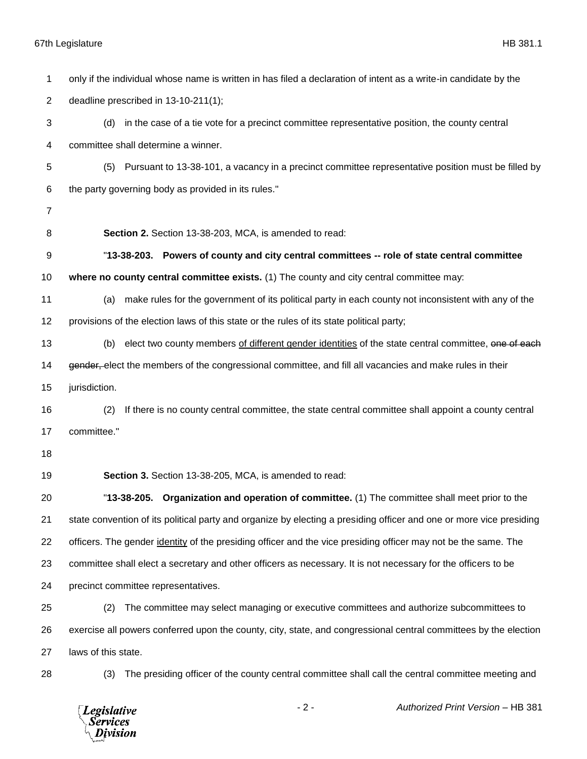## 67th Legislature HB 381.1

| 1              | only if the individual whose name is written in has filed a declaration of intent as a write-in candidate by the      |
|----------------|-----------------------------------------------------------------------------------------------------------------------|
| $\overline{2}$ | deadline prescribed in 13-10-211(1);                                                                                  |
| 3              | in the case of a tie vote for a precinct committee representative position, the county central<br>(d)                 |
| 4              | committee shall determine a winner.                                                                                   |
| 5              | Pursuant to 13-38-101, a vacancy in a precinct committee representative position must be filled by<br>(5)             |
| 6              | the party governing body as provided in its rules."                                                                   |
| $\overline{7}$ |                                                                                                                       |
| 8              | Section 2. Section 13-38-203, MCA, is amended to read:                                                                |
| 9              | "13-38-203. Powers of county and city central committees -- role of state central committee                           |
| 10             | where no county central committee exists. (1) The county and city central committee may:                              |
| 11             | make rules for the government of its political party in each county not inconsistent with any of the<br>(a)           |
| 12             | provisions of the election laws of this state or the rules of its state political party;                              |
| 13             | elect two county members of different gender identities of the state central committee, one of each<br>(b)            |
| 14             | gender, elect the members of the congressional committee, and fill all vacancies and make rules in their              |
| 15             | jurisdiction.                                                                                                         |
| 16             | (2)<br>If there is no county central committee, the state central committee shall appoint a county central            |
| 17             | committee."                                                                                                           |
| 18             |                                                                                                                       |
| 19             | Section 3. Section 13-38-205, MCA, is amended to read:                                                                |
| 20             | "13-38-205. Organization and operation of committee. (1) The committee shall meet prior to the                        |
| 21             | state convention of its political party and organize by electing a presiding officer and one or more vice presiding   |
| 22             | officers. The gender <i>identity</i> of the presiding officer and the vice presiding officer may not be the same. The |
| 23             | committee shall elect a secretary and other officers as necessary. It is not necessary for the officers to be         |
| 24             | precinct committee representatives.                                                                                   |
| 25             | The committee may select managing or executive committees and authorize subcommittees to<br>(2)                       |
| 26             | exercise all powers conferred upon the county, city, state, and congressional central committees by the election      |
| 27             | laws of this state.                                                                                                   |
| 28             | The presiding officer of the county central committee shall call the central committee meeting and<br>(3)             |